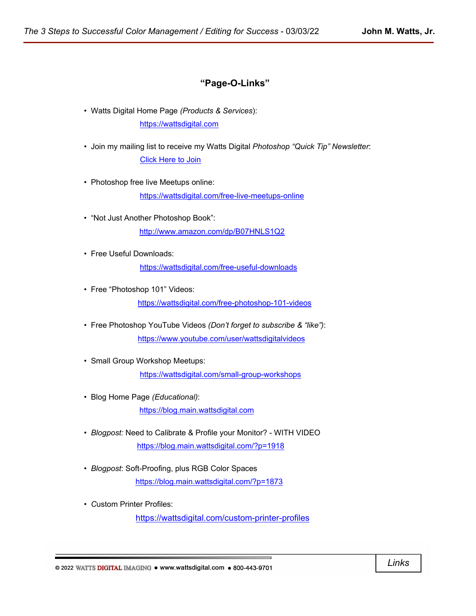### **"Page-O-Links"**

- Watts Digital Home Page *(Products & Services*): [https://wattsdigital.com](https://wattsdigital.com/)
- Join my mailing list to receive my Watts Digital *Photoshop "Quick Tip" Newsletter*: [Click Here to Join](https://visitor.r20.constantcontact.com/manage/optin?v=0016DNjNiidDhRwYuGZFNAxcASo2U_gpD08)
- Photoshop free live Meetups online:

<https://wattsdigital.com/free-live-meetups-online>

- "Not Just Another Photoshop Book": <http://www.amazon.com/dp/B07HNLS1Q2>
- Free Useful Downloads: <https://wattsdigital.com/free-useful-downloads>
- Free "Photoshop 101" Videos: <https://wattsdigital.com/free-photoshop-101-videos>
- Free Photoshop YouTube Videos *(Don't forget to subscribe & "like")*: <https://www.youtube.com/user/wattsdigitalvideos>
- Small Group Workshop Meetups: <https://wattsdigital.com/small-group-workshops>
- Blog Home Page *(Educational)*: [https://blog.main.wattsdigital.com](https://blog.main.wattsdigital.com/)
- *Blogpost:* Need to Calibrate & Profile your Monitor? WITH VIDEO <https://blog.main.wattsdigital.com/?p=1918>
- *Blogpost*: Soft-Proofing, plus RGB Color Spaces <https://blog.main.wattsdigital.com/?p=1873>
- *C*ustom Printer Profiles: <https://wattsdigital.com/custom-printer-profiles>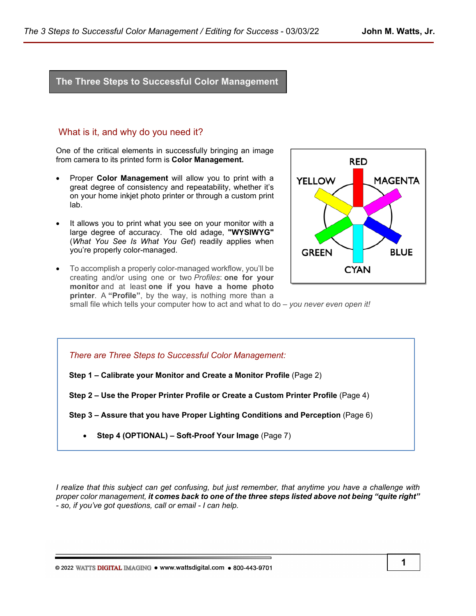# **The Three Steps to Successful Color Management**

### What is it, and why do you need it?

One of the critical elements in successfully bringing an image from camera to its printed form is **Color Management.** 

- Proper **Color Management** will allow you to print with a great degree of consistency and repeatability, whether it's on your home inkjet photo printer or through a custom print lab.
- It allows you to print what you see on your monitor with a large degree of accuracy. The old adage, **"WYSIWYG"** (*What You See Is What You Get*) readily applies when you're properly color-managed.
- To accomplish a properly color-managed workflow, you'll be creating and/or using one or two *Profiles*: **one for your monitor** and at least **one if you have a home photo printer**. A **"Profile"**, by the way, is nothing more than a



small file which tells your computer how to act and what to do – *you never even open it!*

*There are Three Steps to Successful Color Management:*

**Step 1 – Calibrate your Monitor and Create a Monitor Profile** (Page 2)

**Step 2 – Use the Proper Printer Profile or Create a Custom Printer Profile** (Page 4)

**Step 3 – Assure that you have Proper Lighting Conditions and Perception** (Page 6)

• **Step 4 (OPTIONAL) – Soft-Proof Your Image** (Page 7)

*I realize that this subject can get confusing, but just remember, that anytime you have a challenge with proper color management, it comes back to one of the three steps listed above not being "quite right" - so, if you've got questions, call or email - I can help.*

© 2022 WATTS DIGITAL IMAGING . www.wattsdigital.com . 800-443-9701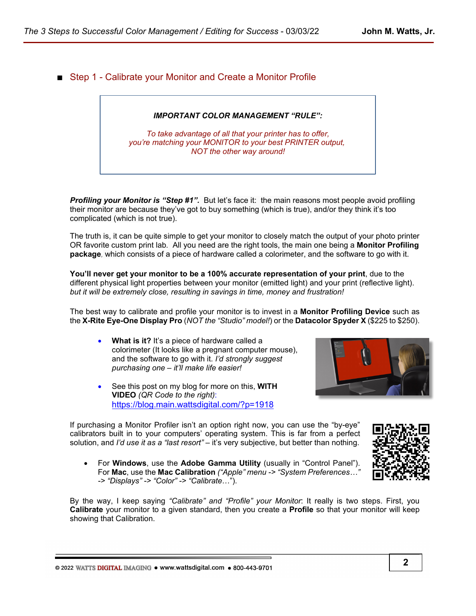■ Step 1 - Calibrate your Monitor and Create a Monitor Profile

### *IMPORTANT COLOR MANAGEMENT "RULE":*

*To take advantage of all that your printer has to offer, you're matching your MONITOR to your best PRINTER output, NOT the other way around!*

**Profiling your Monitor is "Step #1".** But let's face it: the main reasons most people avoid profiling their monitor are because they've got to buy something (which is true), and/or they think it's too complicated (which is not true).

The truth is, it can be quite simple to get your monitor to closely match the output of your photo printer OR favorite custom print lab*.* All you need are the right tools, the main one being a **Monitor Profiling package***,* which consists of a piece of hardware called a colorimeter, and the software to go with it.

**You'll never get your monitor to be a 100% accurate representation of your print**, due to the different physical light properties between your monitor (emitted light) and your print (reflective light). *but it will be extremely close, resulting in savings in time, money and frustration!*

The best way to calibrate and profile your monitor is to invest in a **Monitor Profiling Device** such as the **X-Rite Eye-One Display Pro** (*NOT the "Studio" model!*) or the **Datacolor Spyder X** (\$225 to \$250).

- **What is it?** It's a piece of hardware called a colorimeter (It looks like a pregnant computer mouse), and the software to go with it. *I'd strongly suggest purchasing one – it'll make life easier!*
- See this post on my blog for more on this, **WITH VIDEO** *(QR Code to the right)*: <https://blog.main.wattsdigital.com/?p=1918>

If purchasing a Monitor Profiler isn't an option right now, you can use the "by-eye" calibrators built in to your computers' operating system. This is far from a perfect solution, and *I'd use it as a "last resort"* – it's very subjective, but better than nothing.

• For **Windows**, use the **Adobe Gamma Utility** (usually in "Control Panel"). For **Mac**, use the **Mac Calibration** *("Apple" menu -> "System Preferences…" -> "Displays" -> "Color" -> "Calibrate*…").

By the way, I keep saying *"Calibrate" and "Profile" your Monitor*: It really is two steps. First, you **Calibrate** your monitor to a given standard, then you create a **Profile** so that your monitor will keep showing that Calibration.

© 2022 WATTS DIGITAL IMAGING . www.wattsdigital.com . 800-443-9701

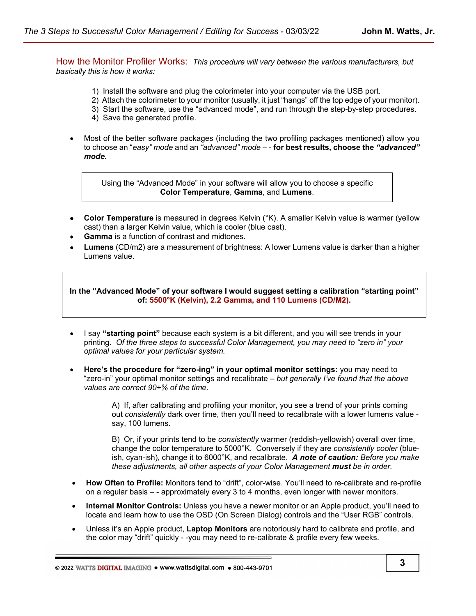How the Monitor Profiler Works:*This procedure will vary between the various manufacturers, but basically this is how it works:*

- 1) Install the software and plug the colorimeter into your computer via the USB port.
- 2) Attach the colorimeter to your monitor (usually, it just "hangs" off the top edge of your monitor).
- 3) Start the software, use the "advanced mode", and run through the step-by-step procedures.
- 4) Save the generated profile.
- Most of the better software packages (including the two profiling packages mentioned) allow you to choose an "*easy" mode* and an *"advanced" mode* – - **for best results, choose the** *"advanced" mode.*

Using the "Advanced Mode" in your software will allow you to choose a specific **Color Temperature**, **Gamma**, and **Lumens**.

- **Color Temperature** is measured in degrees Kelvin (°K). A smaller Kelvin value is warmer (yellow cast) than a larger Kelvin value, which is cooler (blue cast).
- **Gamma** is a function of contrast and midtones.
- • **Lumens** (CD/m2) are a measurement of brightness: A lower Lumens value is darker than a higher Lumens value.

**In the "Advanced Mode" of your software I would suggest setting a calibration "starting point" of: 5500°K (Kelvin), 2.2 Gamma, and 110 Lumens (CD/M2).**

- I say **"starting point"** because each system is a bit different, and you will see trends in your printing. *Of the three steps to successful Color Management, you may need to "zero in" your optimal values for your particular system.*
- **Here's the procedure for "zero-ing" in your optimal monitor settings:** you may need to "zero-in" your optimal monitor settings and recalibrate – *but generally I've found that the above values are correct 90+% of the time.*

A) If, after calibrating and profiling your monitor, you see a trend of your prints coming out *consistently* dark over time, then you'll need to recalibrate with a lower lumens value say, 100 lumens.

B) Or, if your prints tend to be *consistently* warmer (reddish-yellowish) overall over time, change the color temperature to 5000°K. Conversely if they are *consistently cooler* (blueish, cyan-ish), change it to 6000°K, and recalibrate. *A note of caution: Before you make these adjustments, all other aspects of your Color Management must be in order.*

- **How Often to Profile:** Monitors tend to "drift", color-wise. You'll need to re-calibrate and re-profile on a regular basis – - approximately every 3 to 4 months, even longer with newer monitors.
- **Internal Monitor Controls:** Unless you have a newer monitor or an Apple product, you'll need to locate and learn how to use the OSD (On Screen Dialog) controls and the "User RGB" controls.
- Unless it's an Apple product, **Laptop Monitors** are notoriously hard to calibrate and profile, and the color may "drift" quickly - -you may need to re-calibrate & profile every few weeks.

© 2022 WATTS DIGITAL IMAGING . www.wattsdigital.com . 800-443-9701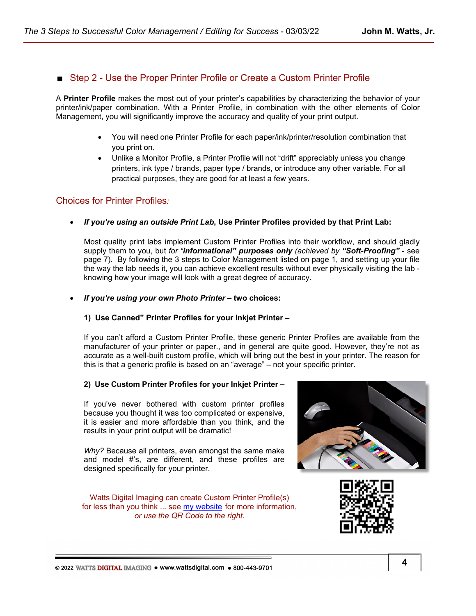## Step 2 - Use the Proper Printer Profile or Create a Custom Printer Profile

A **Printer Profile** makes the most out of your printer's capabilities by characterizing the behavior of your printer/ink/paper combination. With a Printer Profile, in combination with the other elements of Color Management, you will significantly improve the accuracy and quality of your print output.

- You will need one Printer Profile for each paper/ink/printer/resolution combination that you print on.
- Unlike a Monitor Profile, a Printer Profile will not "drift" appreciably unless you change printers, ink type / brands, paper type / brands, or introduce any other variable. For all practical purposes, they are good for at least a few years.

### Choices for Printer Profiles*:*

• *If you're using an outside Print Lab***, Use Printer Profiles provided by that Print Lab:**

Most quality print labs implement Custom Printer Profiles into their workflow, and should gladly supply them to you, but *for "informational" purposes only (achieved by "Soft-Proofing"* - see page 7). By following the 3 steps to Color Management listed on page 1, and setting up your file the way the lab needs it, you can achieve excellent results without ever physically visiting the lab knowing how your image will look with a great degree of accuracy.

• *If you're using your own Photo Printer* **– two choices:**

### **1) Use Canned" Printer Profiles for your Inkjet Printer –**

If you can't afford a Custom Printer Profile, these generic Printer Profiles are available from the manufacturer of your printer or paper., and in general are quite good. However, they're not as accurate as a well-built custom profile, which will bring out the best in your printer. The reason for this is that a generic profile is based on an "average" – not your specific printer.

### **2) Use Custom Printer Profiles for your Inkjet Printer –**

If you've never bothered with custom printer profiles because you thought it was too complicated or expensive, it is easier and more affordable than you think, and the results in your print output will be dramatic!

*Why?* Because all printers, even amongst the same make and model #'s, are different, and these profiles are designed specifically for your printer.

Watts Digital Imaging can create Custom Printer Profile(s) for less than you think ... see [my website](https://wattsdigital.com/custom-printer-profiles) for more information, *or use the QR Code to the right.*



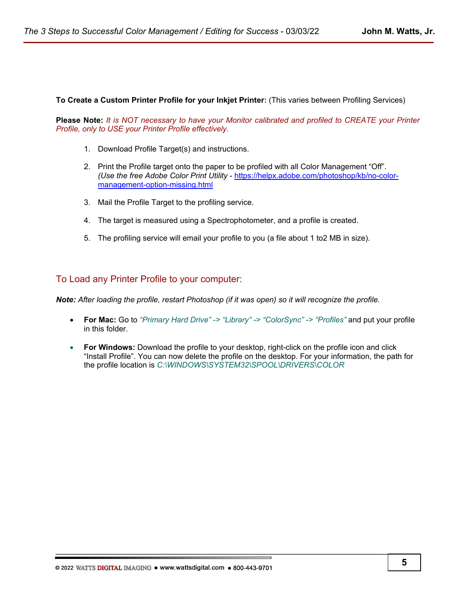**To Create a Custom Printer Profile for your Inkjet Printer:** (This varies between Profiling Services)

**Please Note:** *It is NOT necessary to have your Monitor calibrated and profiled to CREATE your Printer Profile, only to USE your Printer Profile effectively.*

- 1. Download Profile Target(s) and instructions.
- 2. Print the Profile target onto the paper to be profiled with all Color Management "Off". *(Use the free Adobe Color Print Utility* - [https://helpx.adobe.com/photoshop/kb/no-color](https://helpx.adobe.com/photoshop/kb/no-color-management-option-missing.html)[management-option-missing.html](https://helpx.adobe.com/photoshop/kb/no-color-management-option-missing.html)
- 3. Mail the Profile Target to the profiling service.
- 4. The target is measured using a Spectrophotometer, and a profile is created.
- 5. The profiling service will email your profile to you (a file about 1 to2 MB in size).

### To Load any Printer Profile to your computer:

*Note: After loading the profile, restart Photoshop (if it was open) so it will recognize the profile.*

- **For Mac:** Go to *"Primary Hard Drive" -> "Library" -> "ColorSync" -> "Profiles"* and put your profile in this folder.
- **For Windows:** Download the profile to your desktop, right-click on the profile icon and click "Install Profile". You can now delete the profile on the desktop. For your information, the path for the profile location is *C:\WINDOWS\SYSTEM32\SPOOL\DRIVERS\COLOR*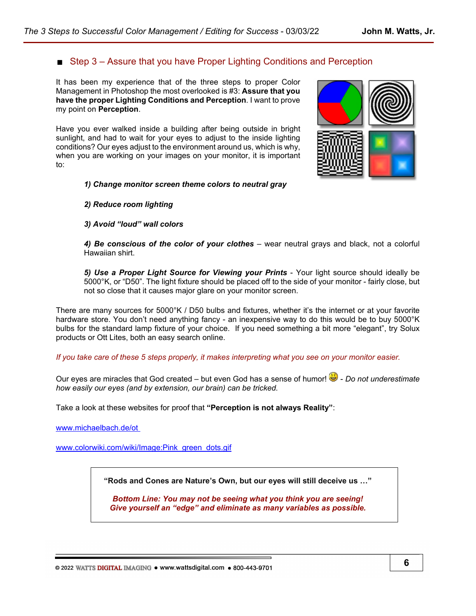# ■ Step 3 – Assure that you have Proper Lighting Conditions and Perception

It has been my experience that of the three steps to proper Color Management in Photoshop the most overlooked is #3: **Assure that you have the proper Lighting Conditions and Perception**. I want to prove my point on **Perception**.

Have you ever walked inside a building after being outside in bright sunlight, and had to wait for your eyes to adjust to the inside lighting conditions? Our eyes adjust to the environment around us, which is why, when you are working on your images on your monitor, it is important to:

### *1) Change monitor screen theme colors to neutral gray*

### *2) Reduce room lighting*

### *3) Avoid "loud" wall colors*

*4) Be conscious of the color of your clothes* – wear neutral grays and black, not a colorful Hawaiian shirt.

*5) Use a Proper Light Source for Viewing your Prints* - Your light source should ideally be 5000°K, or "D50". The light fixture should be placed off to the side of your monitor - fairly close, but not so close that it causes major glare on your monitor screen.

There are many sources for 5000°K / D50 bulbs and fixtures, whether it's the internet or at your favorite hardware store. You don't need anything fancy - an inexpensive way to do this would be to buy 5000°K bulbs for the standard lamp fixture of your choice. If you need something a bit more "elegant", try Solux products or Ott Lites, both an easy search online.

*If you take care of these 5 steps properly, it makes interpreting what you see on your monitor easier.*

Our eyes are miracles that God created – but even God has a sense of humor!  $\ddot{\bullet}$  - *Do not underestimate how easily our eyes (and by extension, our brain) can be tricked.*

Take a look at these websites for proof that **"Perception is not always Reality"**:

[www.michaelbach.de/ot](http://www.michaelbach.de/ot) 

[www.colorwiki.com/wiki/Image:Pink\\_green\\_dots.gif](http://www.colorwiki.com/wiki/Image:Pink_green_dots.gif)

**"Rods and Cones are Nature's Own, but our eyes will still deceive us …"**

*Bottom Line: You may not be seeing what you think you are seeing! Give yourself an "edge" and eliminate as many variables as possible.*

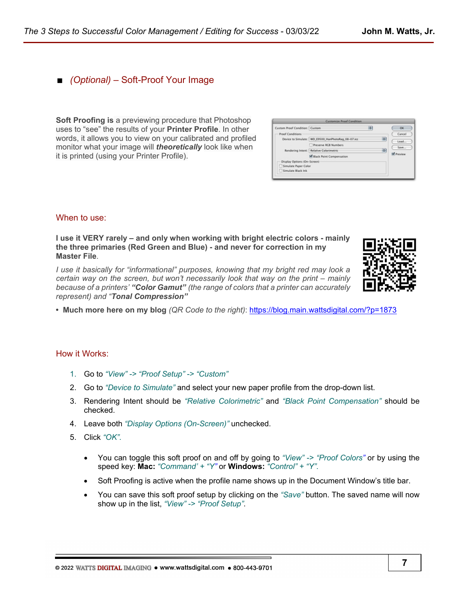### ■ *(Optional)* – Soft-Proof Your Image

**Soft Proofing is** a previewing procedure that Photoshop uses to "see" the results of your **Printer Profile**. In other words, it allows you to view on your calibrated and profiled monitor what your image will *theoretically* look like when it is printed (using your Printer Profile).

| Custom Proof Condition: Custom |                                                    | ı÷ |   | OK               |
|--------------------------------|----------------------------------------------------|----|---|------------------|
| <b>Proof Conditions</b>        |                                                    |    |   | Cancel           |
|                                | Device to Simulate: WD E9500 HanPhotoRag_08-07.icc |    | ы | Load<br>Save     |
|                                | Preserve RCB Numbers                               |    |   |                  |
|                                | Rendering Intent: Relative Colorimetric            |    | 両 |                  |
|                                | M Black Point Compensation                         |    |   | <b>V</b> Preview |
| Display Options (On-Screen)    |                                                    |    |   |                  |
| Simulate Paper Color           |                                                    |    |   |                  |
| Simulate Black Ink             |                                                    |    |   |                  |

### When to use:

**I use it VERY rarely – and only when working with bright electric colors - mainly the three primaries (Red Green and Blue) - and never for correction in my Master File***.* 

*I use it basically for "informational" purposes, knowing that my bright red may look a certain way on the screen, but won't necessarily look that way on the print – mainly because of a printers' "Color Gamut" (the range of colors that a printer can accurately represent) and "Tonal Compression"*



**• Much more here on my blog** *(QR Code to the right)*:<https://blog.main.wattsdigital.com/?p=1873>

#### How it Works:

- 1. Go to *"View" -> "Proof Setup" -> "Custom"*
- 2. Go to *"Device to Simulate"* and select your new paper profile from the drop-down list.
- 3. Rendering Intent should be *"Relative Colorimetric"* and *"Black Point Compensation"* should be checked.
- 4. Leave both *"Display Options (On-Screen)"* unchecked.
- 5. Click *"OK"*.
	- You can toggle this soft proof on and off by going to *"View" -> "Proof Colors"* or by using the speed key: **Mac:** *"Command' + "Y"* or **Windows:** *"Control" + "Y"*.
	- Soft Proofing is active when the profile name shows up in the Document Window's title bar.
	- You can save this soft proof setup by clicking on the *"Save"* button. The saved name will now show up in the list, *"View" -> "Proof Setup"*.

@ 2022 WATTS DIGITAL IMAGING . www.wattsdigital.com . 800-443-9701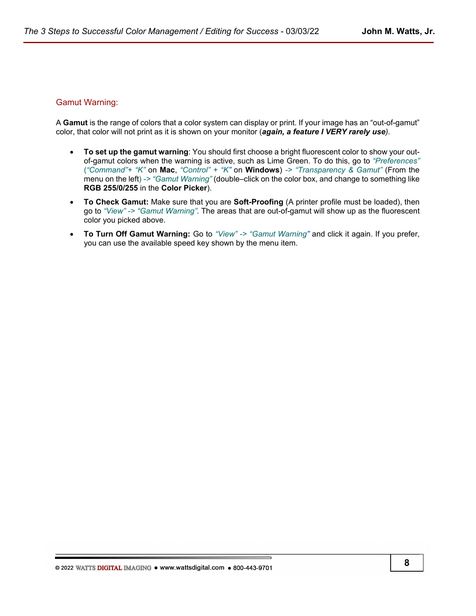### Gamut Warning:

A **Gamut** is the range of colors that a color system can display or print. If your image has an "out-of-gamut" color, that color will not print as it is shown on your monitor (*again, a feature I VERY rarely use).*

- **To set up the gamut warning**: You should first choose a bright fluorescent color to show your outof-gamut colors when the warning is active, such as Lime Green. To do this, go to *"Preferences"* (*"Command"+ "K"* on **Mac**, *"Control" + "K"* on **Windows**) *-> "Transparency & Gamut"* (From the menu on the left) *-> "Gamut Warning"* (double–click on the color box, and change to something like **RGB 255/0/255** in the **Color Picker**).
- **To Check Gamut:** Make sure that you are **Soft-Proofing** (A printer profile must be loaded), then go to *"View" -> "Gamut Warning"*. The areas that are out-of-gamut will show up as the fluorescent color you picked above.
- **To Turn Off Gamut Warning:** Go to *"View" -> "Gamut Warning"* and click it again. If you prefer, you can use the available speed key shown by the menu item.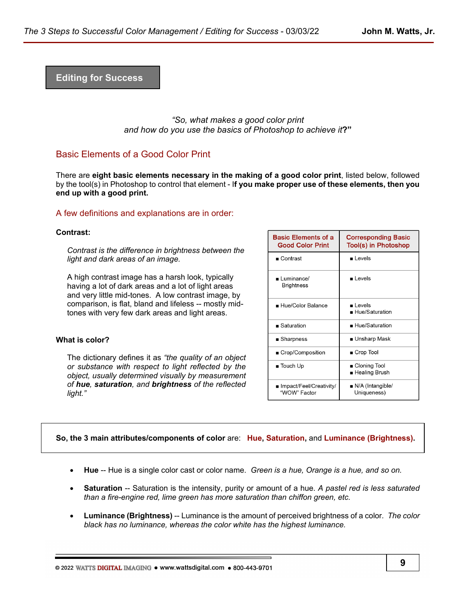**Editing for Success**

*"So, what makes a good color print and how do you use the basics of Photoshop to achieve it***?"** 

## Basic Elements of a Good Color Print

There are **eight basic elements necessary in the making of a good color print**, listed below, followed by the tool(s) in Photoshop to control that element - I**f you make proper use of these elements, then you end up with a good print.**

### A few definitions and explanations are in order:

#### **Contrast:**

*Contrast is the difference in brightness between the light and dark areas of an image.*

A high contrast image has a harsh look, typically having a lot of dark areas and a lot of light areas and very little mid-tones. A low contrast image, by comparison, is flat, bland and lifeless -- mostly midtones with very few dark areas and light areas.

#### **What is color?**

The dictionary defines it as *"the quality of an object or substance with respect to light reflected by the object, usually determined visually by measurement of hue, saturation, and brightness of the reflected light."*

| <b>Basic Elements of a</b><br><b>Good Color Print</b> | <b>Corresponding Basic</b><br>Tool(s) in Photoshop |  |  |
|-------------------------------------------------------|----------------------------------------------------|--|--|
| $\blacksquare$ Contrast                               | Levels                                             |  |  |
| ∎ Luminance/<br><b>Brightness</b>                     | ∎ Levels                                           |  |  |
| ■ Hue/Color Balance                                   | ∎ Levels<br>$\blacksquare$ Hue/Saturation          |  |  |
| $\blacksquare$ Saturation                             | ■ Hue/Saturation                                   |  |  |
| ■ Sharpness                                           | ■ Unsharp Mask                                     |  |  |
| ■ Crop/Composition                                    | ■ Crop Tool                                        |  |  |
| $\blacksquare$ Touch Up                               | ■ Cloning Tool<br>∎ Healing Brush                  |  |  |
| ∎ Impact/Feel/Creativity/<br>"WOW" Factor             | $\blacksquare$ N/A (Intangible/<br>Uniqueness)     |  |  |

#### **So, the 3 main attributes/components of color** are: **Hue, Saturation,** and **Luminance (Brightness).**

- **Hue** -- Hue is a single color cast or color name. *Green is a hue, Orange is a hue, and so on.*
- **Saturation** -- Saturation is the intensity, purity or amount of a hue. *A pastel red is less saturated than a fire-engine red, lime green has more saturation than chiffon green, etc.*
- **Luminance (Brightness)** -- Luminance is the amount of perceived brightness of a color*. The color black has no luminance, whereas the color white has the highest luminance.*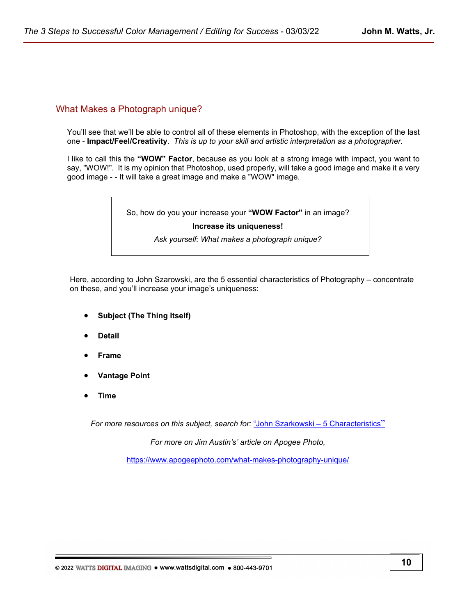# What Makes a Photograph unique?

You'll see that we'll be able to control all of these elements in Photoshop, with the exception of the last one - **Impact/Feel/Creativity**. *This is up to your skill and artistic interpretation as a photographer.*

I like to call this the **"WOW" Factor**, because as you look at a strong image with impact, you want to say, "WOW!". It is my opinion that Photoshop, used properly, will take a good image and make it a very good image - - It will take a great image and make a "WOW" image.

So, how do you your increase your **"WOW Factor"** in an image?

#### **Increase its uniqueness!**

*Ask yourself: What makes a photograph unique?*

Here, according to John Szarowski, are the 5 essential characteristics of Photography – concentrate on these, and you'll increase your image's uniqueness:

- **Subject (The Thing Itself)**
- **Detail**
- **Frame**
- **Vantage Point**
- **Time**

*For more resources on this subject, search for:* ["John Szarkowski – 5 Characteristics](https://duckduckgo.com/?q=John+Szarkowski+-+5+Characteristics&t=osx&ia=web)"

*For more on Jim Austin's' article on Apogee Photo,* 

<https://www.apogeephoto.com/what-makes-photography-unique/>